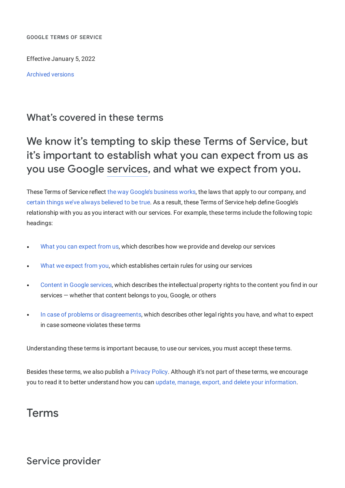GOOGLE TERMS OF SERVICE

Effective January 5, 2022

[Archived](https://policies.google.com/terms/archive) versions

## What's covered in these terms

# We know it's tempting to skip these Terms of Service, but it's important to establish what you can expect from us as you use Google [services](#page-18-0), and what we expect from you.

These Terms of Service reflect the way Google's [business](https://about.google/intl/en_DE/how-our-business-works) works, the laws that apply to our company, and certain things we've always [believed](https://www.google.com/about/philosophy.html) to be true. As a result, these Terms of Service help define Google's relationship with you as you interact with our services. For example, these terms include the following topic headings:

- What you can [expect](#page-1-0) from us, which describes how we provide and develop our services
- What we [expect](#page-3-0) from you, which establishes certain rules for using our services  $\bullet$
- Content in Google [services](#page-8-0), which describes the intellectual property rights to the content you find in our  $\bullet$ services — whether that content belongs to you, Google, or others
- In case of problems or [disagreements](#page-9-0), which describes other legal rights you have, and what to expect in case someone violates these terms

Understanding these terms is important because, to use our services, you must accept these terms.

Besides these terms, we also publish a [Privacy](https://policies.google.com/privacy) Policy. Although it's not part of these terms, we encourage you to read it to better understand how you can update, manage, export, and delete your [information.](https://myaccount.google.com/)

## Terms

## Service provider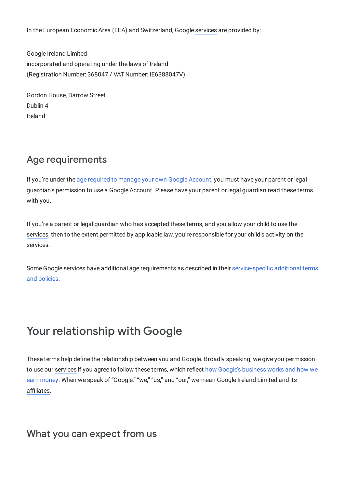In the European Economic Area (EEA) and Switzerland, Google [services](#page-18-0) are provided by:

Google Ireland Limited incorporated and operating under the laws of Ireland (Registration Number: 368047 / VAT Number: IE6388047V)

Gordon House, Barrow Street Dublin 4 Ireland

## Age requirements

If you're under the age required to manage your own Google [Account,](https://support.google.com/accounts/answer/1350409) you must have your parent or legal guardian's permission to use a Google Account. Please have your parent or legal guardian read these terms with you.

If you're a parent or legal guardian who has accepted these terms, and you allow your child to use the [services](#page-18-0), then to the extent permitted by applicable law, you're responsible for your child's activity on the services.

Some Google services have additional age requirements as described in their [service-specific](https://policies.google.com/terms/service-specific) additional terms and policies.

# Your relationship with Google

<span id="page-1-0"></span>These terms help define the relationship between you and Google. Broadly speaking, we give you permission to use our [services](#page-18-0) if you agree to follow these terms, which reflect how Google's business works and how we earn money. When we speak of ["Google,"](https://about.google/intl/en_DE/how-our-business-works) "we," "us," and "our," we mean Google Ireland Limited and its [affiliates.](#page-16-0)

## What you can expect from us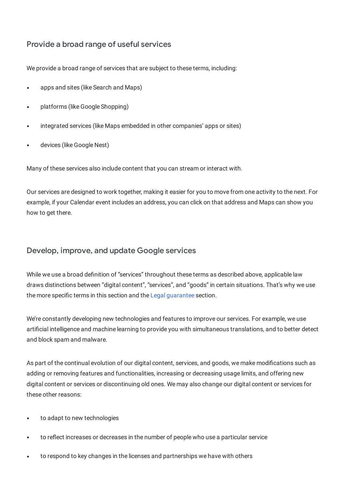### Provide a broad range of useful services

We provide a broad range of services that are subject to these terms, including:

- apps and sites (like Search and Maps)
- platforms (like Google Shopping)
- integrated services (like Maps embedded in other companies' apps or sites)
- devices (like Google Nest)

Many of these services also include content that you can stream or interact with.

Our services are designed to work together, making it easier for you to move from one activity to the next. For example, if your Calendar event includes an address, you can click on that address and Maps can show you how to get there.

#### Develop, improve, and update Google services

While we use a broad definition of "services" throughout these terms as described above, applicable law draws distinctions between "digital content", "services", and "goods" in certain situations. That's why we use the more specific terms in this section and the Legal [guarantee](#page-10-0) section.

We're constantly developing new technologies and features to improve our services. For example, we use artificial intelligence and machine learning to provide you with simultaneous translations, and to better detect and block spam and malware.

As part of the continual evolution of our digital content, services, and goods, we make modifications such as adding or removing features and functionalities, increasing or decreasing usage limits, and offering new digital content or services or discontinuing old ones. We may also change our digital content or services for these other reasons:

- to adapt to new technologies
- to reflect increases or decreases in the number of people who use a particular service
- to respond to key changes in the licenses and partnerships we have with others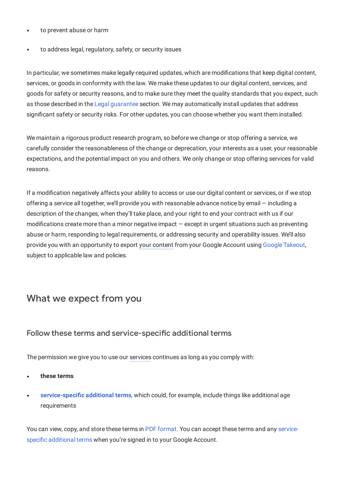- to prevent abuse or harm
- to address legal, regulatory, safety, or security issues

In particular, we sometimes make legally-required updates, which are modifications that keep digital content, services, or goods in conformity with the law. We make these updates to our digital content, services, and goods for safety or security reasons, and to make sure they meet the quality standards that you expect, such as those described in the Legal [guarantee](#page-10-0) section. We may automatically install updates that address significant safety or security risks. For other updates, you can choose whether you want them installed.

We maintain a rigorous product research program, so before we change or stop offering a service, we carefully consider the reasonableness of the change or deprecation, your interests as a user, your reasonable expectations, and the potential impact on you and others. We only change or stop offering services for valid reasons.

<span id="page-3-0"></span>If a modification negatively affects your ability to access or use our digital content or services, or if we stop offering a service all together, we'll provide you with reasonable advance notice by email — including a description of the changes, when they'll take place, and your right to end your contract with us if our modifications create more than a minor negative impact — except in urgent situations such as preventing abuse or harm, responding to legal requirements, or addressing security and operability issues. We'll also provide you with an opportunity to export your [content](#page-18-1) from your Google Account using Google [Takeout,](https://takeout.google.com/settings/takeout) subject to applicable law and policies.

## What we expect from you

#### Follow these terms and service-specific additional terms

The permission we give you to use our [services](#page-18-0) continues as long as you comply with:

- **these terms**
- **[service-specific](https://policies.google.com/terms/service-specific) additional terms**, which could, for example, include things like additional age requirements

You can view, copy, and store these terms in PDF [format.](https://www.gstatic.com/policies/terms/pdf/20220105/it7r24p9/google_terms_of_service_en_de.pdf) You can accept these terms and any servicespecific [additional](https://policies.google.com/terms/service-specific) terms when you're signed in to your Google Account.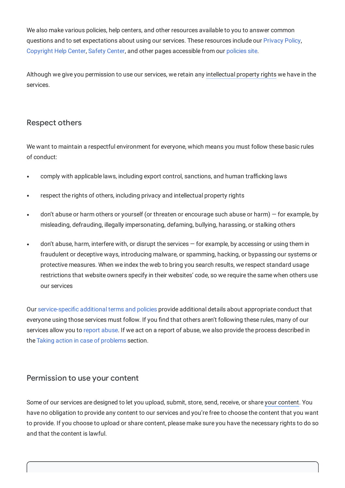We also make various policies, help centers, and other resources available to you to answer common questions and to set expectations about using our services. These resources include our [Privacy](https://policies.google.com/privacy) Policy, [Copyright](https://support.google.com/legal/topic/4558877) Help Center, Safety [Center,](https://safety.google/) and other pages accessible from our [policies](https://policies.google.com/) site.

Although we give you permission to use our services, we retain any [intellectual](#page-17-0) property rights we have in the services.

#### Respect others

We want to maintain a respectful environment for everyone, which means you must follow these basic rules of conduct:

- comply with applicable laws, including export control, sanctions, and human trafficking laws
- respect the rights of others, including privacy and intellectual property rights
- don't abuse or harm others or yourself (or threaten or encourage such abuse or harm) for example, by misleading, defrauding, illegally impersonating, defaming, bullying, harassing, or stalking others
- don't abuse, harm, interfere with, or disrupt the services for example, by accessing or using them in fraudulent or deceptive ways, introducing malware, or spamming, hacking, or bypassing our systems or protective measures. When we index the web to bring you search results, we respect standard usage restrictions that website owners specify in their websites' code, so we require the same when others use our services

<span id="page-4-0"></span>Our [service-specific](https://policies.google.com/terms/service-specific) additional terms and policies provide additional details about appropriate conduct that everyone using those services must follow. If you find that others aren't following these rules, many of our services allow you to report [abuse.](https://support.google.com/groups/answer/81275) If we act on a report of abuse, we also provide the process described in the Taking action in case of [problems](#page-11-0) section.

#### Permission to use your content

Some of our services are designed to let you upload, submit, store, send, receive, or share your [content](#page-18-1). You have no obligation to provide any content to our services and you're free to choose the content that you want to provide. If you choose to upload or share content, please make sure you have the necessary rights to do so and that the content is lawful.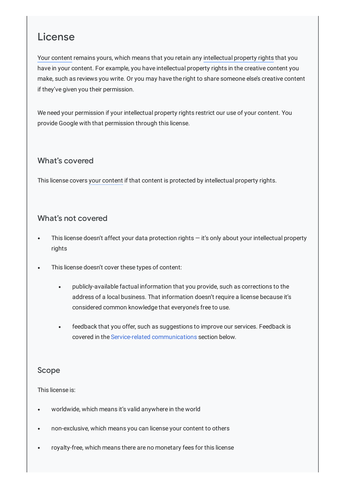# License

Your [content](#page-18-1) remains yours, which means that you retain any [intellectual](#page-17-0) property rights that you have in your content. For example, you have intellectual property rights in the creative content you make, such as reviews you write. Or you may have the right to share someone else's creative content if they've given you their permission.

We need your permission if your intellectual property rights restrict our use of your content. You provide Google with that permission through this license.

### What's covered

This license covers your [content](#page-18-1) if that content is protected by intellectual property rights.

#### What's not covered

- This license doesn't affect your data protection rights it's only about your intellectual property rights
- This license doesn't cover these types of content:
	- publicly-available factual information that you provide, such as corrections to the address of a local business. That information doesn't require a license because it's considered common knowledge that everyone's free to use.
	- feedback that you offer, such as suggestions to improve our services. Feedback is covered in the Service-related [communications](#page-8-1) section below.

#### Scope

#### This license is:

- worldwide, which means it's valid anywhere in the world
- non-exclusive, which means you can license your content to others
- royalty-free, which means there are no monetary fees for this license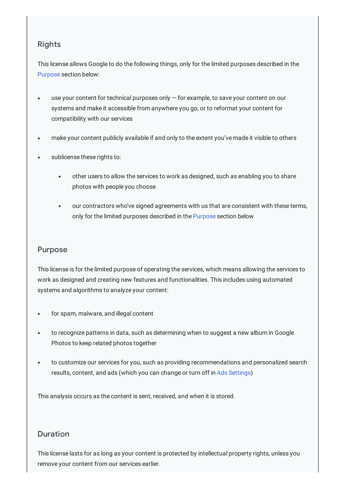### Rights

This license allows Google to do the following things, only for the limited purposes described in the [Purpose](#page-6-0) section below:

- use your content for technical purposes only for example, to save your content on our systems and make it accessible from anywhere you go, or to reformat your content for compatibility with our services
- make your content publicly available if and only to the extent you've made it visible to others
- <span id="page-6-0"></span>sublicense these rights to:
	- other users to allow the services to work as designed, such as enabling you to share photos with people you choose
	- our contractors who've signed agreements with us that are consistent with these terms,  $\bullet$ only for the limited purposes described in the [Purpose](#page-6-0) section below

#### Purpose

This license is for the limited purpose of operating the services, which means allowing the services to work as designed and creating new features and functionalities. This includes using automated systems and algorithms to analyze your content:

- for spam, malware, and illegal content
- to recognize patterns in data, such as determining when to suggest a new album in Google Photos to keep related photos together
- to customize our services for you, such as providing recommendations and personalized search  $\bullet$ results, content, and ads (which you can change or turn off in Ads [Settings](https://adssettings.google.com/?ref=ps-terms))

This analysis occurs as the content is sent, received, and when it is stored.

### Duration

This license lasts for as long as your content is protected by intellectual property rights, unless you remove your content from our services earlier.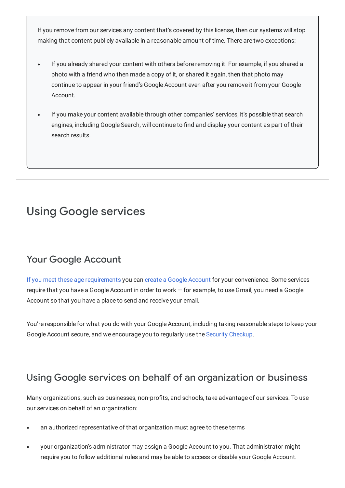If you remove from our services any content that's covered by this license, then our systems will stop making that content publicly available in a reasonable amount of time. There are two exceptions:

- If you already shared your content with others before removing it. For example, if you shared a photo with a friend who then made a copy of it, or shared it again, then that photo may continue to appear in your friend's Google Account even after you remove it from your Google Account.
- If you make your content available through other companies' services, it's possible that search engines, including Google Search, will continue to find and display your content as part of their search results.

# Using Google services

## Your Google Account

If you meet these age [requirements](https://support.google.com/accounts/answer/1350409) you can create a Google [Account](https://support.google.com/accounts/answer/27441) for your convenience. Some [services](#page-18-0) require that you have a Google Account in order to work — for example, to use Gmail, you need a Google Account so that you have a place to send and receive your email.

You're responsible for what you do with your Google Account, including taking reasonable steps to keep your Google Account secure, and we encourage you to regularly use the Security [Checkup](https://myaccount.google.com/security-checkup).

## Using Google services on behalf of an organization or business

Many [organizations](#page-18-2), such as businesses, non-profits, and schools, take advantage of our [services.](#page-18-0) To use our services on behalf of an organization:

- an authorized representative of that organization must agree to these terms
- your organization's administrator may assign a Google Account to you. That administrator might require you to follow additional rules and may be able to access or disable your Google Account.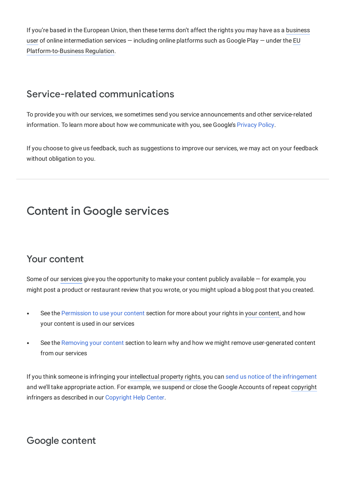<span id="page-8-1"></span>If you're based in the European Union, then these terms don't affect the rights you may have as a business user of online [intermediation](#page-16-1) services — including online platforms such as Google Play — under the EU [Platform-to-Business](#page-17-1) Regulation.

## Service-related communications

To provide you with our services, we sometimes send you service announcements and other service-related information. To learn more about how we communicate with you, see Google's [Privacy](https://policies.google.com/privacy) Policy.

<span id="page-8-0"></span>If you choose to give us feedback, such as suggestions to improve our services, we may act on your feedback without obligation to you.

# Content in Google services

## Your content

Some of our [services](#page-18-0) give you the opportunity to make your content publicly available — for example, you might post a product or restaurant review that you wrote, or you might upload a blog post that you created.

- See the [Permission](#page-4-0) to use your [content](#page-18-1) section for more about your rights in your content, and how your content is used in our services
- See the [Removing](#page-11-1) your content section to learn why and how we might remove user-generated content  $\bullet$ from our services

If you think someone is infringing your [intellectual](#page-17-0) property rights, you can send us notice of the [infringement](https://support.google.com/legal/answer/3110420) and we'll take appropriate action. For example, we suspend or close the Google Accounts of repeat [copyright](#page-17-2) infringers as described in our [Copyright](https://support.google.com/legal/topic/4558877) Help Center.

## Google content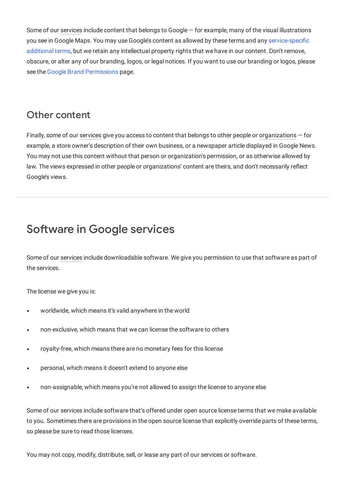Some of our [services](#page-18-0) include content that belongs to Google – for example, many of the visual illustrations you see in Google Maps. You may use Google's content as allowed by these terms and any [service-specific](https://policies.google.com/terms/service-specific) additional terms, but we retain any intellectual property rights that we have in our content. Don't remove, obscure, or alter any of our branding, logos, or legal notices. If you want to use our branding or logos, please see the Google Brand [Permissions](https://www.google.com/permissions) page.

## Other content

Finally, some of our [services](#page-18-0) give you access to content that belongs to other people or [organizations](#page-18-2) — for example, a store owner's description of their own business, or a newspaper article displayed in Google News. You may not use this content without that person or organization's permission, or as otherwise allowed by law. The views expressed in other people or organizations' content are theirs, and don't necessarily reflect Google's views.

# Software in Google services

Some of our [services](#page-18-0) include downloadable software. We give you permission to use that software as part of the services.

The license we give you is:

- worldwide, which means it's valid anywhere in the world
- non-exclusive, which means that we can license the software to others
- royalty-free, which means there are no monetary fees for this license  $\bullet$
- personal, which means it doesn't extend to anyone else  $\bullet$
- non-assignable, which means you're not allowed to assign the license to anyone else

Some of our services include software that's offered under open source license terms that we make available to you. Sometimes there are provisions in the open source license that explicitly override parts of these terms, so please be sure to read those licenses.

<span id="page-9-0"></span>You may not copy, modify, distribute, sell, or lease any part of our services or software.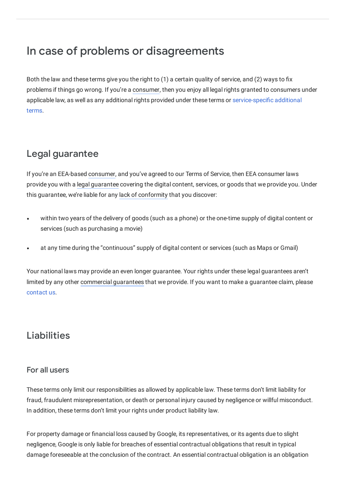# In case of problems or disagreements

<span id="page-10-0"></span>Both the law and these terms give you the right to (1) a certain quality of service, and (2) ways to fix problems if things go wrong. If you're a [consumer](#page-16-2), then you enjoy all legal rights granted to consumers under applicable law, as well as any additional rights provided under these terms or [service-specific](https://policies.google.com/terms/service-specific) additional terms.

## Legal guarantee

If you're an EEA-based [consumer](#page-16-2), and you've agreed to our Terms of Service, then EEA consumer laws provide you with a legal [guarantee](#page-17-3) covering the digital content, services, or goods that we provide you. Under this guarantee, we're liable for any lack of [conformity](#page-17-4) that you discover:

- within two years of the delivery of goods (such as a phone) or the one-time supply of digital content or  $\bullet$ services (such as purchasing a movie)
- at any time during the "continuous" supply of digital content or services (such as Maps or Gmail)

Your national laws may provide an even longer guarantee. Your rights under these legal guarantees aren't limited by any other [commercial](#page-16-3) guarantees that we provide. If you want to make a guarantee claim, please [contact](https://about.google/contact-google/) us.

# Liabilities

### For all users

These terms only limit our responsibilities as allowed by applicable law. These terms don't limit liability for fraud, fraudulent misrepresentation, or death or personal injury caused by negligence or willful misconduct. In addition, these terms don't limit your rights under product liability law.

For property damage or financial loss caused by Google, its representatives, or its agents due to slight negligence, Google is only liable for breaches of essential contractual obligations that result in typical damage foreseeable at the conclusion of the contract. An essential contractual obligation is an obligation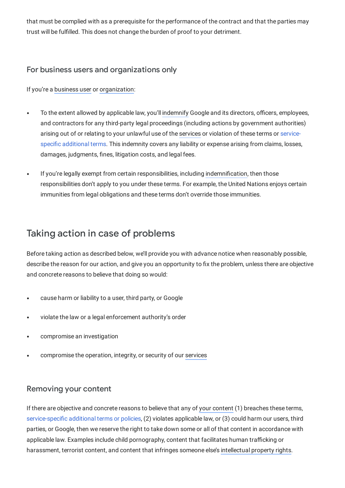that must be complied with as a prerequisite for the performance of the contract and that the parties may trust will be fulfilled. This does not change the burden of proof to your detriment.

#### For business users and organizations only

If you're a [business](#page-16-1) user or [organization](#page-18-2):

- To the extent allowed by applicable law, you'll [indemnify](#page-17-5) Google and its directors, officers, employees, and contractors for any third-party legal proceedings (including actions by government authorities) arising out of or relating to your unlawful use of the [services](#page-18-0) or violation of these terms or servicespecific [additional](https://policies.google.com/terms/service-specific) terms. This indemnity covers any liability or expense arising from claims, losses, damages, judgments, fines, litigation costs, and legal fees.
- <span id="page-11-0"></span>If you're legally exempt from certain responsibilities, including [indemnification](#page-17-5), then those responsibilities don't apply to you under these terms. For example, the United Nations enjoys certain immunities from legal obligations and these terms don't override those immunities.

## Taking action in case of problems

Before taking action as described below, we'll provide you with advance notice when reasonably possible, describe the reason for our action, and give you an opportunity to fix the problem, unless there are objective and concrete reasons to believe that doing so would:

- cause harm or liability to a user, third party, or Google  $\bullet$
- violate the law or a legal enforcement authority's order  $\bullet$
- <span id="page-11-1"></span>compromise an investigation
- compromise the operation, integrity, or security of our [services](#page-18-0)  $\bullet$

#### Removing your content

If there are objective and concrete reasons to believe that any of your [content](#page-18-1) (1) breaches these terms, [service-specific](https://policies.google.com/terms/service-specific) additional terms or policies, (2) violates applicable law, or (3) could harm our users, third parties, or Google, then we reserve the right to take down some or all of that content in accordance with applicable law. Examples include child pornography, content that facilitates human trafficking or harassment, terrorist content, and content that infringes someone else's [intellectual](#page-17-0) property rights.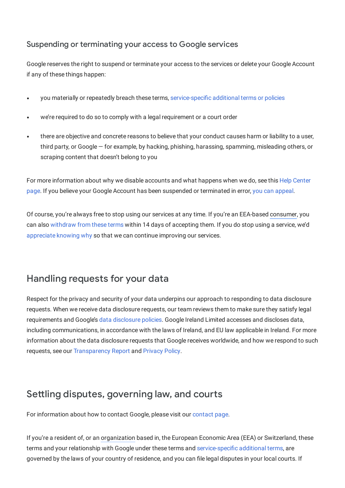## Suspending or terminating your access to Google services

Google reserves the right to suspend or terminate your access to the services or delete your Google Account if any of these things happen:

- you materially or repeatedly breach these terms, [service-specific](https://policies.google.com/terms/service-specific) additional terms or policies
- we're required to do so to comply with a legal requirement or a court order
- there are objective and concrete reasons to believe that your conduct causes harm or liability to a user, third party, or Google — for example, by hacking, phishing, harassing, spamming, misleading others, or scraping content that doesn't belong to you

For more [information](https://support.google.com/accounts/answer/40695) about why we disable accounts and what happens when we do, see this Help Center page. If you believe your Google Account has been suspended or terminated in error, you can [appeal](https://support.google.com/accounts/answer/40695).

Of course, you're always free to stop using our services at any time. If you're an EEA-based [consumer](#page-16-2), you can also [withdraw](#page-13-0) from these terms within 14 days of accepting them. If you do stop using a service, we'd [appreciate](https://www.google.com/tools/feedback/intl/en/) knowing why so that we can continue improving our services.

## Handling requests for your data

Respect for the privacy and security of your data underpins our approach to responding to data disclosure requests. When we receive data disclosure requests, our team reviews them to make sure they satisfy legal requirements and Google's data [disclosure](https://policies.google.com/terms/information-requests) policies. Google Ireland Limited accesses and discloses data, including communications, in accordance with the laws of Ireland, and EU law applicable in Ireland. For more information about the data disclosure requests that Google receives worldwide, and how we respond to such requests, see our [Transparency](https://transparencyreport.google.com/) Report and [Privacy](https://policies.google.com/privacy) Policy.

## Settling disputes, governing law, and courts

For information about how to contact Google, please visit our [contact](https://www.google.com/contact) page.

If you're a resident of, or an [organization](#page-18-2) based in, the European Economic Area (EEA) or Switzerland, these terms and your relationship with Google under these terms and [service-specific](https://policies.google.com/terms/service-specific) additional terms, are governed by the laws of your country of residence, and you can file legal disputes in your local courts. If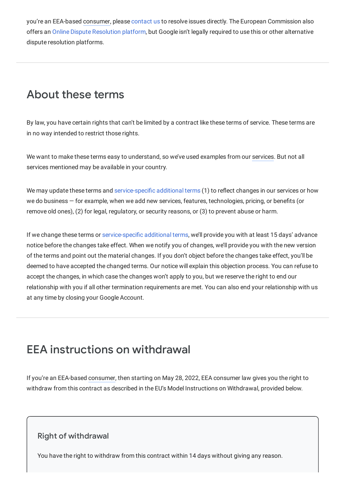you're an EEA-based [consumer](#page-16-2), please [contact](https://google.com/contact) us to resolve issues directly. The European Commission also offers an Online Dispute [Resolution](https://ec.europa.eu/consumers/odr) platform, but Google isn't legally required to use this or other alternative dispute resolution platforms.

# About these terms

By law, you have certain rights that can't be limited by a contract like these terms of service. These terms are in no way intended to restrict those rights.

We want to make these terms easy to understand, so we've used examples from our [services.](#page-18-0) But not all services mentioned may be available in your country.

We may update these terms and [service-specific](https://policies.google.com/terms/service-specific) additional terms (1) to reflect changes in our services or how we do business — for example, when we add new services, features, technologies, pricing, or benefits (or remove old ones), (2) for legal, regulatory, or security reasons, or (3) to prevent abuse or harm.

If we change these terms or [service-specific](https://policies.google.com/terms/service-specific) additional terms, we'll provide you with at least 15 days' advance notice before the changes take effect. When we notify you of changes, we'll provide you with the new version of the terms and point out the material changes. If you don't object before the changes take effect, you'll be deemed to have accepted the changed terms. Our notice will explain this objection process. You can refuse to accept the changes, in which case the changes won't apply to you, but we reserve the right to end our relationship with you if all other termination requirements are met. You can also end your relationship with us at any time by closing your Google Account.

# <span id="page-13-0"></span>EEA instructions on withdrawal

If you're an EEA-based [consumer](#page-16-2), then starting on May 28, 2022, EEA consumer law gives you the right to withdraw from this contract as described in the EU's Model Instructions on Withdrawal, provided below.

### Right of withdrawal

You have the right to withdraw from this contract within 14 days without giving any reason.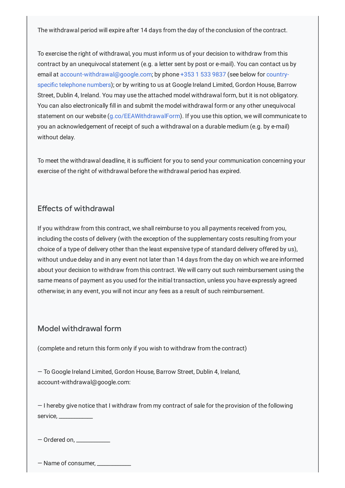The withdrawal period will expire after 14 days from the day of the conclusion of the contract.

To exercise the right of withdrawal, you must inform us of your decision to withdraw from this contract by an unequivocal statement (e.g. a letter sent by post or e-mail). You can contact us by email at [a](#page-15-0)[ccount-withdrawal@google.co](mailto:account-withdrawal@google.com)[m;](#page-15-0) by phone [+353](tel:+35315339837) 1 533 9837 (see below for countryspecific telephone numbers); or by writing to us at Google Ireland Limited, Gordon House, Barrow Street, Dublin 4, Ireland. You may use the attached model withdrawal form, but it is not obligatory. You can also electronically fill in and submit the model withdrawal form or any other unequivocal statement on our website [\(g.co/EEAWithdrawalForm\)](https://g.co/EEAWithdrawalForm). If you use this option, we will communicate to you an acknowledgement of receipt of such a withdrawal on a durable medium (e.g. by e-mail) without delay.

To meet the withdrawal deadline, it is sufficient for you to send your communication concerning your exercise of the right of withdrawal before the withdrawal period has expired.

#### Effects of withdrawal

If you withdraw from this contract, we shall reimburse to you all payments received from you, including the costs of delivery (with the exception of the supplementary costs resulting from your choice of a type of delivery other than the least expensive type of standard delivery offered by us), without undue delay and in any event not later than 14 days from the day on which we are informed about your decision to withdraw from this contract. We will carry out such reimbursement using the same means of payment as you used for the initial transaction, unless you have expressly agreed otherwise; in any event, you will not incur any fees as a result of such reimbursement.

#### Model withdrawal form

(complete and return this form only if you wish to withdraw from the contract)

— To Google Ireland Limited, Gordon House, Barrow Street, Dublin 4, Ireland, account-withdrawal@google.com:

— I hereby give notice that I withdraw from my contract of sale for the provision of the following service, \_\_\_\_\_\_\_\_\_\_\_\_\_

— Ordered on, \_\_\_\_\_\_\_\_\_\_\_\_\_

— Name of consumer, \_\_\_\_\_\_\_\_\_\_\_\_\_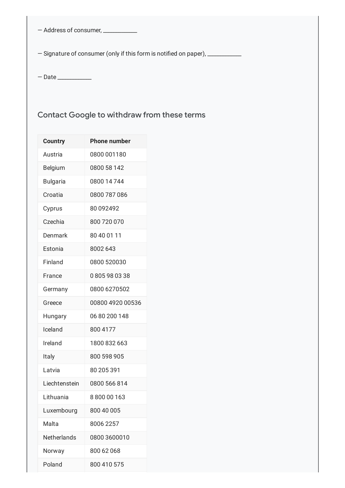— Address of consumer, \_\_\_\_\_\_\_\_\_\_\_\_\_

<span id="page-15-0"></span>- Signature of consumer (only if this form is notified on paper), \_\_\_\_\_\_\_\_\_\_\_\_\_\_

— Date \_\_\_\_\_\_\_\_\_\_\_\_\_

## Contact Google to withdraw from these terms

| <b>Country</b>  | <b>Phone number</b> |
|-----------------|---------------------|
| Austria         | 0800 001180         |
| <b>Belgium</b>  | 0800 58 142         |
| <b>Bulgaria</b> | 0800 14 744         |
| Croatia         | 0800 787 086        |
| Cyprus          | 80 092492           |
| Czechia         | 800 720 070         |
| Denmark         | 80 40 01 11         |
| Estonia         | 8002 643            |
| Finland         | 0800 520030         |
| France          | 0805980338          |
| Germany         | 0800 6270502        |
| Greece          | 00800 4920 00536    |
| Hungary         | 06 80 200 148       |
| Iceland         | 800 4177            |
| Ireland         | 1800 832 663        |
| Italy           | 800 598 905         |
| Latvia          | 80 205 391          |
| Liechtenstein   | 0800 566 814        |
| Lithuania       | 880000163           |
| Luxembourg      | 800 40 005          |
| Malta           | 8006 2257           |
| Netherlands     | 0800 3600010        |
| Norway          | 800 62 068          |
| Poland          | 800 410 575         |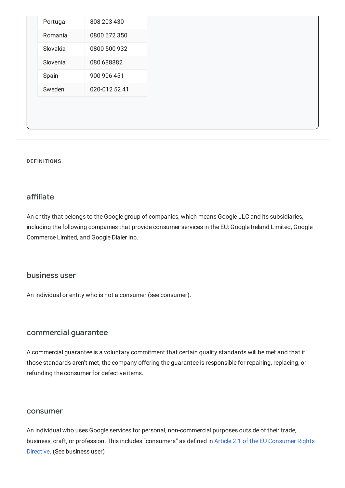| Portugal | 808 203 430   |
|----------|---------------|
| Romania  | 0800 672 350  |
| Slovakia | 0800 500 932  |
| Slovenia | 080 688882    |
| Spain    | 900 906 451   |
| Sweden   | 020-012 52 41 |
|          |               |
|          |               |

#### <span id="page-16-0"></span>DEFINITIONS

#### affiliate

An entity that belongs to the Google group of companies, which means Google LLC and its subsidiaries, including the following companies that provide consumer services in the EU: Google Ireland Limited, Google Commerce Limited, and Google Dialer Inc.

#### <span id="page-16-1"></span>business user

<span id="page-16-3"></span>An individual or entity who is not a consumer (see consumer).

#### commercial guarantee

A commercial guarantee is a voluntary commitment that certain quality standards will be met and that if those standards aren't met, the company offering the guarantee is responsible for repairing, replacing, or refunding the consumer for defective items.

#### <span id="page-16-2"></span>consumer

An individual who uses Google services for personal, non-commercial purposes outside of their trade, business, craft, or profession. This includes ["consumers"](https://eur-lex.europa.eu/legal-content/EN/TXT/?uri=celex%3A32011L0083) as defined in Article 2.1 of the EU Consumer Rights Directive. (See business user)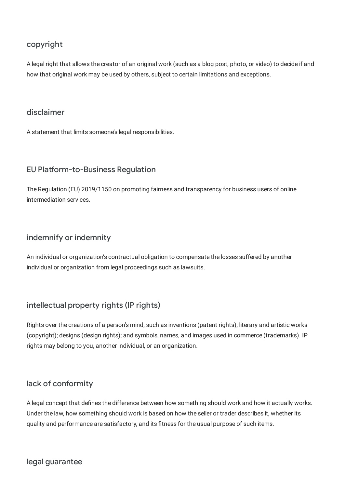### <span id="page-17-2"></span>copyright

A legal right that allows the creator of an original work (such as a blog post, photo, or video) to decide if and how that original work may be used by others, subject to certain limitations and exceptions.

#### disclaimer

<span id="page-17-1"></span>A statement that limits someone's legal responsibilities.

#### EU Platform-to-Business Regulation

<span id="page-17-5"></span>The Regulation (EU) 2019/1150 on promoting fairness and transparency for business users of online intermediation services.

#### indemnify or indemnity

<span id="page-17-0"></span>An individual or organization's contractual obligation to compensate the losses suffered by another individual or organization from legal proceedings such as lawsuits.

### intellectual property rights (IP rights)

Rights over the creations of a person's mind, such as inventions (patent rights); literary and artistic works (copyright); designs (design rights); and symbols, names, and images used in commerce (trademarks). IP rights may belong to you, another individual, or an organization.

#### <span id="page-17-4"></span>lack of conformity

<span id="page-17-3"></span>A legal concept that defines the difference between how something should work and how it actually works. Under the law, how something should work is based on how the seller or trader describes it, whether its quality and performance are satisfactory, and its fitness for the usual purpose of such items.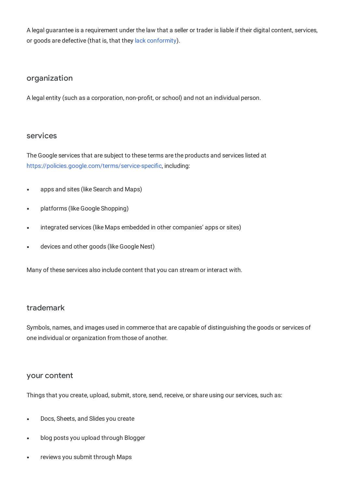<span id="page-18-2"></span>A legal guarantee is a requirement under the law that a seller or trader is liable if their digital content, services, or goods are defective (that is, that they lack [conformity\)](https://policies.google.com/terms/definitions#toc-terms-lack-conformity).

#### organization

<span id="page-18-0"></span>A legal entity (such as a corporation, non-profit, or school) and not an individual person.

#### services

The Google services that are subject to these terms are the products and services listed at <https://policies.google.com/terms/service-specific>, including:

- apps and sites (like Search and Maps)  $\bullet$
- platforms (like Google Shopping)  $\bullet$
- integrated services (like Maps embedded in other companies' apps or sites)
- devices and other goods (like Google Nest)

Many of these services also include content that you can stream or interact with.

#### trademark

<span id="page-18-1"></span>Symbols, names, and images used in commerce that are capable of distinguishing the goods or services of one individual or organization from those of another.

#### your content

Things that you create, upload, submit, store, send, receive, or share using our services, such as:

- Docs, Sheets, and Slides you create
- blog posts you upload through Blogger
- reviews you submit through Maps